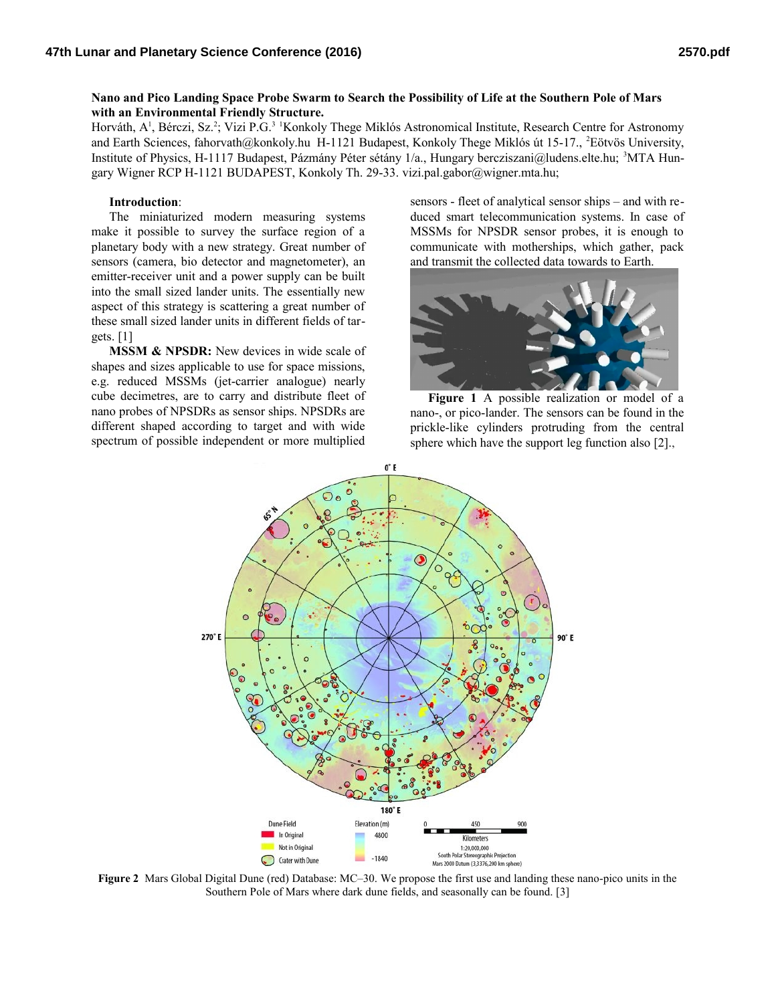## **Nano and Pico Landing Space Probe Swarm to Search the Possibility of Life at the Southern Pole of Mars with an Environmental Friendly Structure.**

Horváth, A<sup>1</sup>, Bérczi, Sz.<sup>2</sup>; Vizi P.G.<sup>3 1</sup>Konkoly Thege Miklós Astronomical Institute, Research Centre for Astronomy and Earth Sciences, fahorvath@konkoly.hu H-1121 Budapest, Konkoly Thege Miklós út 15-17., <sup>2</sup>Eötvös University, Institute of Physics, H-1117 Budapest, Pázmány Péter sétány 1/a., Hungary bercziszani@ludens.elte.hu; 3MTA Hungary Wigner RCP H-1121 BUDAPEST, Konkoly Th. 29-33. vizi.pal.gabor@wigner.mta.hu;

## **Introduction**:

The miniaturized modern measuring systems make it possible to survey the surface region of a planetary body with a new strategy. Great number of sensors (camera, bio detector and magnetometer), an emitter-receiver unit and a power supply can be built into the small sized lander units. The essentially new aspect of this strategy is scattering a great number of these small sized lander units in different fields of targets. [1]

**MSSM & NPSDR:** New devices in wide scale of shapes and sizes applicable to use for space missions, e.g. reduced MSSMs (jet-carrier analogue) nearly cube decimetres, are to carry and distribute fleet of nano probes of NPSDRs as sensor ships. NPSDRs are different shaped according to target and with wide spectrum of possible independent or more multiplied

sensors - fleet of analytical sensor ships – and with reduced smart telecommunication systems. In case of MSSMs for NPSDR sensor probes, it is enough to communicate with motherships, which gather, pack and transmit the collected data towards to Earth.



**Figure 1** A possible realization or model of a nano-, or pico-lander. The sensors can be found in the prickle-like cylinders protruding from the central sphere which have the support leg function also [2].,



**Figure 2** Mars Global Digital Dune (red) Database: MC–30. We propose the first use and landing these nano-pico units in the Southern Pole of Mars where dark dune fields, and seasonally can be found. [3]